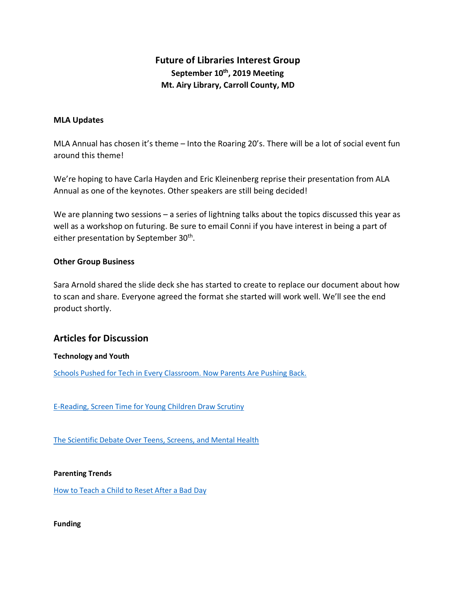# **Future of Libraries Interest Group September 10th, 2019 Meeting Mt. Airy Library, Carroll County, MD**

## **MLA Updates**

MLA Annual has chosen it's theme – Into the Roaring 20's. There will be a lot of social event fun around this theme!

We're hoping to have Carla Hayden and Eric Kleinenberg reprise their presentation from ALA Annual as one of the keynotes. Other speakers are still being decided!

We are planning two sessions – a series of lightning talks about the topics discussed this year as well as a workshop on futuring. Be sure to email Conni if you have interest in being a part of either presentation by September 30<sup>th</sup>.

## **Other Group Business**

Sara Arnold shared the slide deck she has started to create to replace our document about how to scan and share. Everyone agreed the format she started will work well. We'll see the end product shortly.

## **Articles for Discussion**

## **Technology and Youth**

Schools Pushed for Tech in Every Classroom. Now Parents Are Pushing Back.

E-Reading, Screen Time for Young Children Draw Scrutiny

The Scientific Debate Over Teens, Screens, and Mental Health

**Parenting Trends**

How to Teach a Child to Reset After a Bad Day

**Funding**